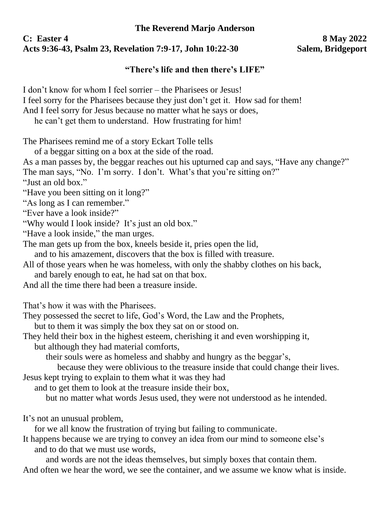## **The Reverend Marjo Anderson**

## **C: Easter 4 8 May 2022 Acts 9:36-43, Psalm 23, Revelation 7:9-17, John 10:22-30 Salem, Bridgeport**

## **"There's life and then there's LIFE"**

I don't know for whom I feel sorrier – the Pharisees or Jesus! I feel sorry for the Pharisees because they just don't get it. How sad for them! And I feel sorry for Jesus because no matter what he says or does,

he can't get them to understand. How frustrating for him!

The Pharisees remind me of a story Eckart Tolle tells

of a beggar sitting on a box at the side of the road.

As a man passes by, the beggar reaches out his upturned cap and says, "Have any change?"

The man says, "No. I'm sorry. I don't. What's that you're sitting on?"

"Just an old box."

"Have you been sitting on it long?"

"As long as I can remember."

"Ever have a look inside?"

"Why would I look inside? It's just an old box."

"Have a look inside," the man urges.

The man gets up from the box, kneels beside it, pries open the lid,

and to his amazement, discovers that the box is filled with treasure.

All of those years when he was homeless, with only the shabby clothes on his back,

and barely enough to eat, he had sat on that box.

And all the time there had been a treasure inside.

That's how it was with the Pharisees.

They possessed the secret to life, God's Word, the Law and the Prophets,

but to them it was simply the box they sat on or stood on.

They held their box in the highest esteem, cherishing it and even worshipping it,

but although they had material comforts,

their souls were as homeless and shabby and hungry as the beggar's,

because they were oblivious to the treasure inside that could change their lives. Jesus kept trying to explain to them what it was they had

and to get them to look at the treasure inside their box,

but no matter what words Jesus used, they were not understood as he intended.

It's not an unusual problem,

for we all know the frustration of trying but failing to communicate.

It happens because we are trying to convey an idea from our mind to someone else's and to do that we must use words,

and words are not the ideas themselves, but simply boxes that contain them. And often we hear the word, we see the container, and we assume we know what is inside.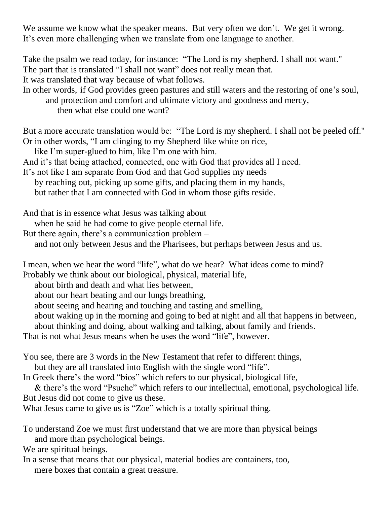We assume we know what the speaker means. But very often we don't. We get it wrong. It's even more challenging when we translate from one language to another.

Take the psalm we read today, for instance: "The Lord is my shepherd. I shall not want." The part that is translated "I shall not want" does not really mean that. It was translated that way because of what follows.

In other words, if God provides green pastures and still waters and the restoring of one's soul, and protection and comfort and ultimate victory and goodness and mercy, then what else could one want?

But a more accurate translation would be: "The Lord is my shepherd. I shall not be peeled off." Or in other words, "I am clinging to my Shepherd like white on rice,

like I'm super-glued to him, like I'm one with him.

And it's that being attached, connected, one with God that provides all I need.

It's not like I am separate from God and that God supplies my needs

by reaching out, picking up some gifts, and placing them in my hands,

but rather that I am connected with God in whom those gifts reside.

And that is in essence what Jesus was talking about

when he said he had come to give people eternal life.

But there again, there's a communication problem –

and not only between Jesus and the Pharisees, but perhaps between Jesus and us.

I mean, when we hear the word "life", what do we hear? What ideas come to mind?

Probably we think about our biological, physical, material life,

about birth and death and what lies between,

about our heart beating and our lungs breathing,

about seeing and hearing and touching and tasting and smelling,

about waking up in the morning and going to bed at night and all that happens in between,

about thinking and doing, about walking and talking, about family and friends.

That is not what Jesus means when he uses the word "life", however.

You see, there are 3 words in the New Testament that refer to different things,

but they are all translated into English with the single word "life".

In Greek there's the word "bios" which refers to our physical, biological life,

& there's the word "Psuche" which refers to our intellectual, emotional, psychological life. But Jesus did not come to give us these.

What Jesus came to give us is "Zoe" which is a totally spiritual thing.

To understand Zoe we must first understand that we are more than physical beings and more than psychological beings.

We are spiritual beings.

In a sense that means that our physical, material bodies are containers, too, mere boxes that contain a great treasure.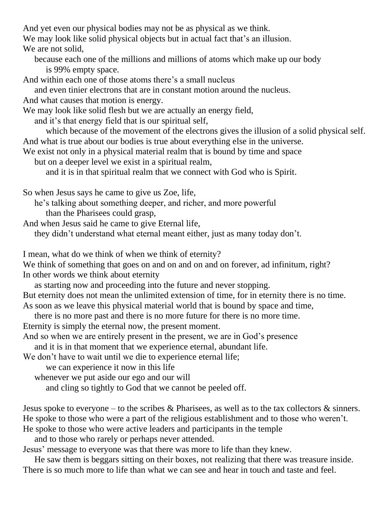And yet even our physical bodies may not be as physical as we think.

We may look like solid physical objects but in actual fact that's an illusion.

We are not solid.

because each one of the millions and millions of atoms which make up our body is 99% empty space.

And within each one of those atoms there's a small nucleus

and even tinier electrons that are in constant motion around the nucleus.

And what causes that motion is energy.

We may look like solid flesh but we are actually an energy field,

and it's that energy field that is our spiritual self,

which because of the movement of the electrons gives the illusion of a solid physical self. And what is true about our bodies is true about everything else in the universe.

We exist not only in a physical material realm that is bound by time and space

but on a deeper level we exist in a spiritual realm,

and it is in that spiritual realm that we connect with God who is Spirit.

So when Jesus says he came to give us Zoe, life,

he's talking about something deeper, and richer, and more powerful than the Pharisees could grasp,

And when Jesus said he came to give Eternal life,

they didn't understand what eternal meant either, just as many today don't.

I mean, what do we think of when we think of eternity?

We think of something that goes on and on and on and on forever, ad infinitum, right? In other words we think about eternity

as starting now and proceeding into the future and never stopping.

But eternity does not mean the unlimited extension of time, for in eternity there is no time. As soon as we leave this physical material world that is bound by space and time,

there is no more past and there is no more future for there is no more time.

Eternity is simply the eternal now, the present moment.

And so when we are entirely present in the present, we are in God's presence

and it is in that moment that we experience eternal, abundant life.

We don't have to wait until we die to experience eternal life;

we can experience it now in this life

whenever we put aside our ego and our will

and cling so tightly to God that we cannot be peeled off.

Jesus spoke to everyone – to the scribes  $\&$  Pharisees, as well as to the tax collectors  $\&$  sinners. He spoke to those who were a part of the religious establishment and to those who weren't. He spoke to those who were active leaders and participants in the temple

and to those who rarely or perhaps never attended.

Jesus' message to everyone was that there was more to life than they knew.

He saw them is beggars sitting on their boxes, not realizing that there was treasure inside. There is so much more to life than what we can see and hear in touch and taste and feel.